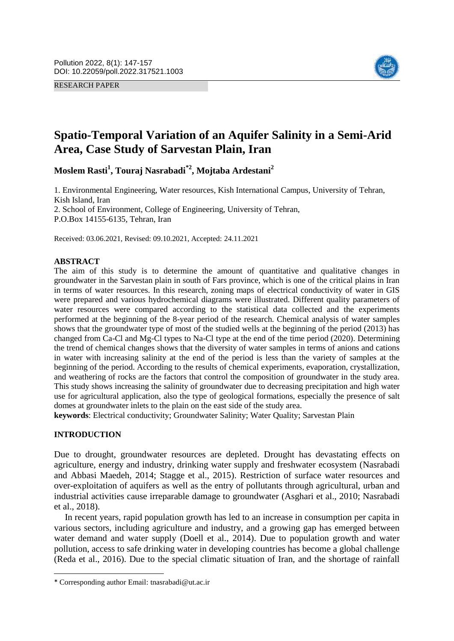RESEARCH PAPER



# **Spatio-Temporal Variation of an Aquifer Salinity in a Semi-Arid Area, Case Study of Sarvestan Plain, Iran**

**Moslem Rasti<sup>1</sup> , Touraj Nasrabadi\*2 , Mojtaba Ardestani<sup>2</sup>**

1. Environmental Engineering, Water resources, Kish International Campus, University of Tehran, Kish Island, Iran 2. School of Environment, College of Engineering, University of Tehran, P.O.Box 14155-6135, Tehran, Iran

Received: 03.06.2021, Revised: 09.10.2021, Accepted: 24.11.2021

# **ABSTRACT**

The aim of this study is to determine the amount of quantitative and qualitative changes in groundwater in the Sarvestan plain in south of Fars province, which is one of the critical plains in Iran in terms of water resources. In this research, zoning maps of electrical conductivity of water in GIS were prepared and various hydrochemical diagrams were illustrated. Different quality parameters of water resources were compared according to the statistical data collected and the experiments performed at the beginning of the 8-year period of the research. Chemical analysis of water samples shows that the groundwater type of most of the studied wells at the beginning of the period (2013) has changed from Ca-Cl and Mg-Cl types to Na-Cl type at the end of the time period (2020). Determining the trend of chemical changes shows that the diversity of water samples in terms of anions and cations in water with increasing salinity at the end of the period is less than the variety of samples at the beginning of the period. According to the results of chemical experiments, evaporation, crystallization, and weathering of rocks are the factors that control the composition of groundwater in the study area. This study shows increasing the salinity of groundwater due to decreasing precipitation and high water use for agricultural application, also the type of geological formations, especially the presence of salt domes at groundwater inlets to the plain on the east side of the study area.

**keywords**: Electrical conductivity; Groundwater Salinity; Water Quality; Sarvestan Plain

# **INTRODUCTION**

 $\overline{\phantom{a}}$ 

Due to drought, groundwater resources are depleted. Drought has devastating effects on agriculture, energy and industry, drinking water supply and freshwater ecosystem (Nasrabadi and Abbasi Maedeh, 2014; Stagge et al., 2015). Restriction of surface water resources and over-exploitation of aquifers as well as the entry of pollutants through agricultural, urban and industrial activities cause irreparable damage to groundwater (Asghari et al., 2010; Nasrabadi et al., 2018).

In recent years, rapid population growth has led to an increase in consumption per capita in various sectors, including agriculture and industry, and a growing gap has emerged between water demand and water supply (Doell et al., 2014). Due to population growth and water pollution, access to safe drinking water in developing countries has become a global challenge (Reda et al., 2016). Due to the special climatic situation of Iran, and the shortage of rainfall

<sup>\*</sup> Corresponding author Email: tnasrabadi@ut.ac.ir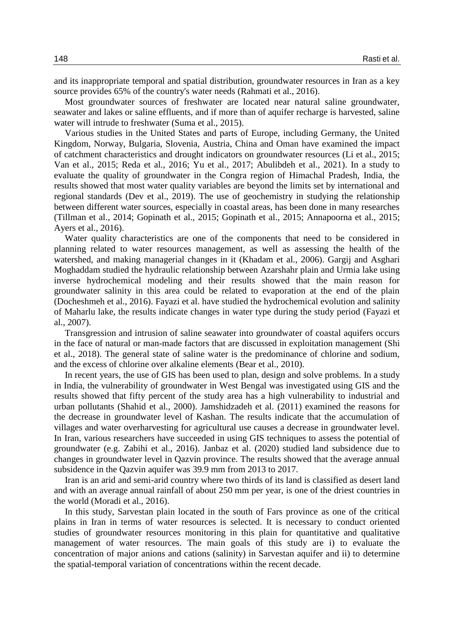and its inappropriate temporal and spatial distribution, groundwater resources in Iran as a key source provides 65% of the country's water needs (Rahmati et al., 2016).

Most groundwater sources of freshwater are located near natural saline groundwater, seawater and lakes or saline effluents, and if more than of aquifer recharge is harvested, saline water will intrude to freshwater (Suma et al., 2015).

Various studies in the United States and parts of Europe, including Germany, the United Kingdom, Norway, Bulgaria, Slovenia, Austria, China and Oman have examined the impact of catchment characteristics and drought indicators on groundwater resources (Li et al., 2015; Van et al., 2015; Reda et al., 2016; Yu et al., 2017; Abulibdeh et al., 2021). In a study to evaluate the quality of groundwater in the Congra region of Himachal Pradesh, India, the results showed that most water quality variables are beyond the limits set by international and regional standards (Dev et al., 2019). The use of geochemistry in studying the relationship between different water sources, especially in coastal areas, has been done in many researches (Tillman et al., 2014; Gopinath et al., 2015; Gopinath et al., 2015; Annapoorna et al., 2015; Ayers et al., 2016).

Water quality characteristics are one of the components that need to be considered in planning related to water resources management, as well as assessing the health of the watershed, and making managerial changes in it (Khadam et al., 2006). Gargij and Asghari Moghaddam studied the hydraulic relationship between Azarshahr plain and Urmia lake using inverse hydrochemical modeling and their results showed that the main reason for groundwater salinity in this area could be related to evaporation at the end of the plain (Docheshmeh et al., 2016). Fayazi et al. have studied the hydrochemical evolution and salinity of Maharlu lake, the results indicate changes in water type during the study period (Fayazi et al., 2007).

Transgression and intrusion of saline seawater into groundwater of coastal aquifers occurs in the face of natural or man-made factors that are discussed in exploitation management (Shi et al., 2018). The general state of saline water is the predominance of chlorine and sodium, and the excess of chlorine over alkaline elements (Bear et al., 2010).

In recent years, the use of GIS has been used to plan, design and solve problems. In a study in India, the vulnerability of groundwater in West Bengal was investigated using GIS and the results showed that fifty percent of the study area has a high vulnerability to industrial and urban pollutants (Shahid et al., 2000). Jamshidzadeh et al. (2011) examined the reasons for the decrease in groundwater level of Kashan. The results indicate that the accumulation of villages and water overharvesting for agricultural use causes a decrease in groundwater level. In Iran, various researchers have succeeded in using GIS techniques to assess the potential of groundwater (e.g. Zabihi et al., 2016). Janbaz et al. (2020) studied land subsidence due to changes in groundwater level in Qazvin province. The results showed that the average annual subsidence in the Qazvin aquifer was 39.9 mm from 2013 to 2017.

Iran is an arid and semi-arid country where two thirds of its land is classified as desert land and with an average annual rainfall of about 250 mm per year, is one of the driest countries in the world (Moradi et al., 2016).

In this study, Sarvestan plain located in the south of Fars province as one of the critical plains in Iran in terms of water resources is selected. It is necessary to conduct oriented studies of groundwater resources monitoring in this plain for quantitative and qualitative management of water resources. The main goals of this study are i) to evaluate the concentration of major anions and cations (salinity) in Sarvestan aquifer and ii) to determine the spatial-temporal variation of concentrations within the recent decade.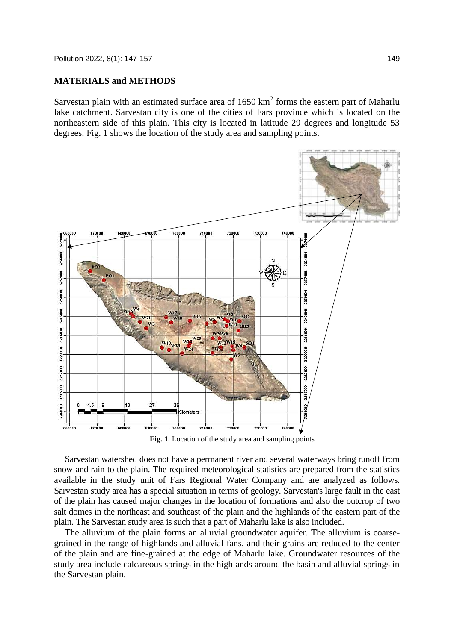# **MATERIALS and METHODS**

Sarvestan plain with an estimated surface area of  $1650 \text{ km}^2$  forms the eastern part of Maharlu lake catchment. Sarvestan city is one of the cities of Fars province which is located on the northeastern side of this plain. This city is located in latitude 29 degrees and longitude 53 degrees. Fig. 1 shows the location of the study area and sampling points.



**Fig. 1.** Location of the study area and sampling points

Sarvestan watershed does not have a permanent river and several waterways bring runoff from snow and rain to the plain. The required meteorological statistics are prepared from the statistics available in the study unit of Fars Regional Water Company and are analyzed as follows. Sarvestan study area has a special situation in terms of geology. Sarvestan's large fault in the east of the plain has caused major changes in the location of formations and also the outcrop of two salt domes in the northeast and southeast of the plain and the highlands of the eastern part of the plain. The Sarvestan study area is such that a part of Maharlu lake is also included.

The alluvium of the plain forms an alluvial groundwater aquifer. The alluvium is coarsegrained in the range of highlands and alluvial fans, and their grains are reduced to the center of the plain and are fine-grained at the edge of Maharlu lake. Groundwater resources of the study area include calcareous springs in the highlands around the basin and alluvial springs in the Sarvestan plain.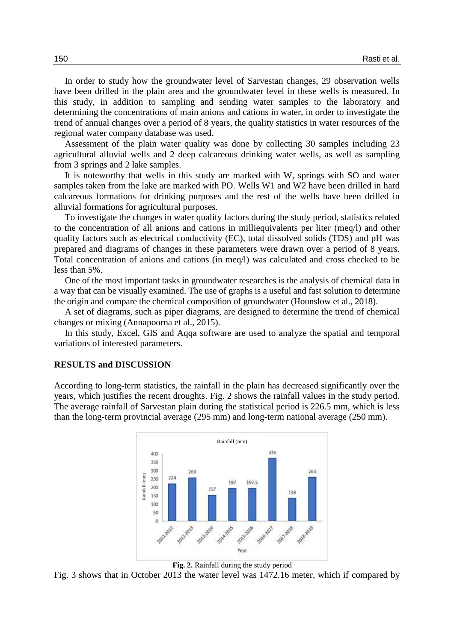In order to study how the groundwater level of Sarvestan changes, 29 observation wells have been drilled in the plain area and the groundwater level in these wells is measured. In this study, in addition to sampling and sending water samples to the laboratory and determining the concentrations of main anions and cations in water, in order to investigate the trend of annual changes over a period of 8 years, the quality statistics in water resources of the regional water company database was used.

Assessment of the plain water quality was done by collecting 30 samples including 23 agricultural alluvial wells and 2 deep calcareous drinking water wells, as well as sampling from 3 springs and 2 lake samples.

It is noteworthy that wells in this study are marked with W, springs with SO and water samples taken from the lake are marked with PO. Wells W1 and W2 have been drilled in hard calcareous formations for drinking purposes and the rest of the wells have been drilled in alluvial formations for agricultural purposes.

To investigate the changes in water quality factors during the study period, statistics related to the concentration of all anions and cations in milliequivalents per liter (meq/l) and other quality factors such as electrical conductivity (EC), total dissolved solids (TDS) and pH was prepared and diagrams of changes in these parameters were drawn over a period of 8 years. Total concentration of anions and cations (in meq/l) was calculated and cross checked to be less than 5%.

One of the most important tasks in groundwater researches is the analysis of chemical data in a way that can be visually examined. The use of graphs is a useful and fast solution to determine the origin and compare the chemical composition of groundwater (Hounslow et al., 2018).

A set of diagrams, such as piper diagrams, are designed to determine the trend of chemical changes or mixing (Annapoorna et al., 2015).

In this study, Excel, GIS and Aqqa software are used to analyze the spatial and temporal variations of interested parameters.

#### **RESULTS and DISCUSSION**

According to long-term statistics, the rainfall in the plain has decreased significantly over the years, which justifies the recent droughts. Fig. 2 shows the rainfall values in the study period. The average rainfall of Sarvestan plain during the statistical period is 226.5 mm, which is less than the long-term provincial average (295 mm) and long-term national average (250 mm).



**Fig. 2.** Rainfall during the study period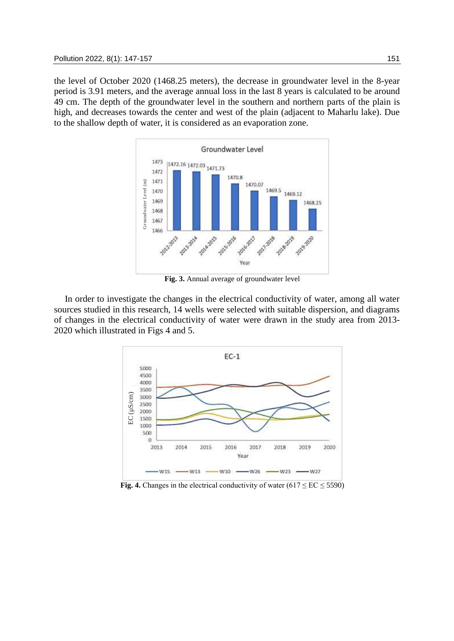the level of October 2020 (1468.25 meters), the decrease in groundwater level in the 8-year period is 3.91 meters, and the average annual loss in the last 8 years is calculated to be around 49 cm. The depth of the groundwater level in the southern and northern parts of the plain is high, and decreases towards the center and west of the plain (adjacent to Maharlu lake). Due to the shallow depth of water, it is considered as an evaporation zone.



**Fig. 3.** Annual average of groundwater level

In order to investigate the changes in the electrical conductivity of water, among all water sources studied in this research, 14 wells were selected with suitable dispersion, and diagrams of changes in the electrical conductivity of water were drawn in the study area from 2013- 2020 which illustrated in Figs 4 and 5.

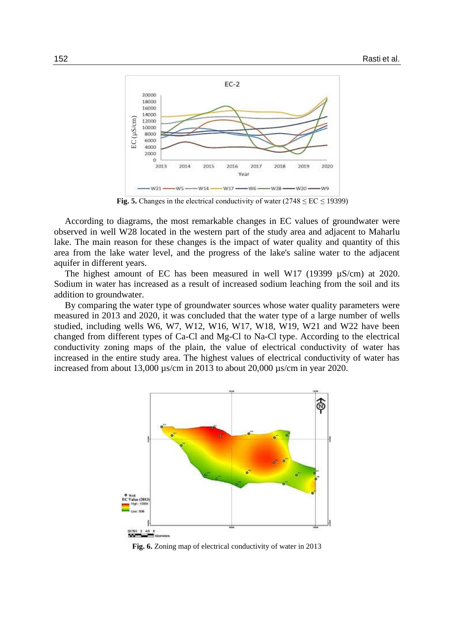

**Fig. 5.** Changes in the electrical conductivity of water  $(2748 \leq EC \leq 19399)$ 

According to diagrams, the most remarkable changes in EC values of groundwater were observed in well W28 located in the western part of the study area and adjacent to Maharlu lake. The main reason for these changes is the impact of water quality and quantity of this area from the lake water level, and the progress of the lake's saline water to the adjacent aquifer in different years.

The highest amount of EC has been measured in well W17 (19399 µS/cm) at 2020. Sodium in water has increased as a result of increased sodium leaching from the soil and its addition to groundwater.

By comparing the water type of groundwater sources whose water quality parameters were measured in 2013 and 2020, it was concluded that the water type of a large number of wells studied, including wells W6, W7, W12, W16, W17, W18, W19, W21 and W22 have been changed from different types of Ca-Cl and Mg-Cl to Na-Cl type. According to the electrical conductivity zoning maps of the plain, the value of electrical conductivity of water has increased in the entire study area. The highest values of electrical conductivity of water has increased from about 13,000 µs/cm in 2013 to about 20,000 µs/cm in year 2020.

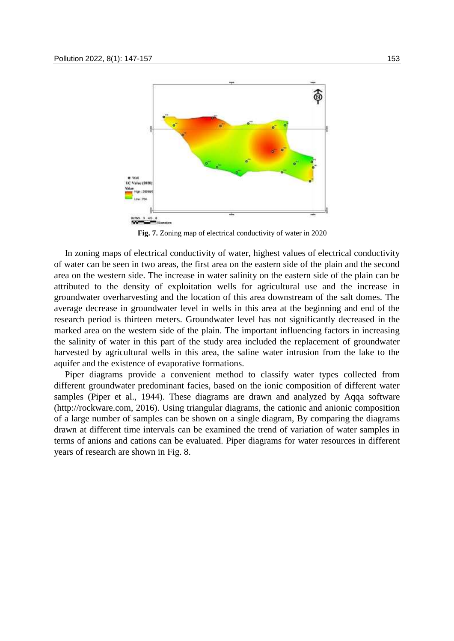

**Fig. 7.** Zoning map of electrical conductivity of water in 2020

In zoning maps of electrical conductivity of water, highest values of electrical conductivity of water can be seen in two areas, the first area on the eastern side of the plain and the second area on the western side. The increase in water salinity on the eastern side of the plain can be attributed to the density of exploitation wells for agricultural use and the increase in groundwater overharvesting and the location of this area downstream of the salt domes. The average decrease in groundwater level in wells in this area at the beginning and end of the research period is thirteen meters. Groundwater level has not significantly decreased in the marked area on the western side of the plain. The important influencing factors in increasing the salinity of water in this part of the study area included the replacement of groundwater harvested by agricultural wells in this area, the saline water intrusion from the lake to the aquifer and the existence of evaporative formations.

Piper diagrams provide a convenient method to classify water types collected from different groundwater predominant facies, based on the ionic composition of different water samples (Piper et al., 1944). These diagrams are drawn and analyzed by Aqqa software (http://rockware.com, 2016). Using triangular diagrams, the cationic and anionic composition of a large number of samples can be shown on a single diagram, By comparing the diagrams drawn at different time intervals can be examined the trend of variation of water samples in terms of anions and cations can be evaluated. Piper diagrams for water resources in different years of research are shown in Fig. 8.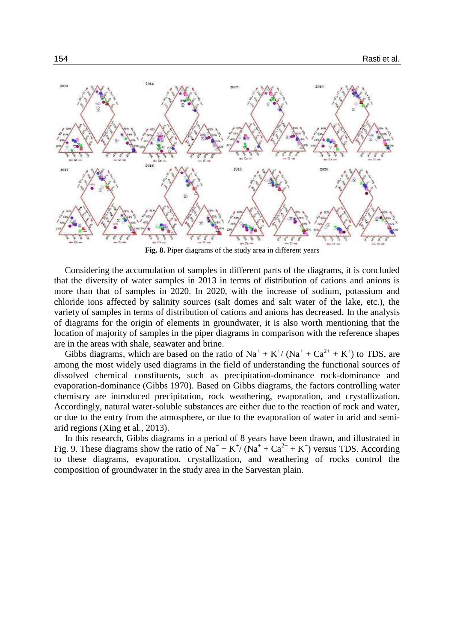

**Fig. 8.** Piper diagrams of the study area in different years

Considering the accumulation of samples in different parts of the diagrams, it is concluded that the diversity of water samples in 2013 in terms of distribution of cations and anions is more than that of samples in 2020. In 2020, with the increase of sodium, potassium and chloride ions affected by salinity sources (salt domes and salt water of the lake, etc.), the variety of samples in terms of distribution of cations and anions has decreased. In the analysis of diagrams for the origin of elements in groundwater, it is also worth mentioning that the location of majority of samples in the piper diagrams in comparison with the reference shapes are in the areas with shale, seawater and brine.

Gibbs diagrams, which are based on the ratio of  $Na^+ + K^+ / (Na^+ + Ca^{2+} + K^+)$  to TDS, are among the most widely used diagrams in the field of understanding the functional sources of dissolved chemical constituents, such as precipitation-dominance rock-dominance and evaporation-dominance (Gibbs 1970). Based on Gibbs diagrams, the factors controlling water chemistry are introduced precipitation, rock weathering, evaporation, and crystallization. Accordingly, natural water-soluble substances are either due to the reaction of rock and water, or due to the entry from the atmosphere, or due to the evaporation of water in arid and semiarid regions (Xing et al., 2013).

In this research, Gibbs diagrams in a period of 8 years have been drawn, and illustrated in Fig. 9. These diagrams show the ratio of  $\text{Na}^+ + \text{K}^+ / (\text{Na}^+ + \text{Ca}^{2+} + \text{K}^+)$  versus TDS. According to these diagrams, evaporation, crystallization, and weathering of rocks control the composition of groundwater in the study area in the Sarvestan plain.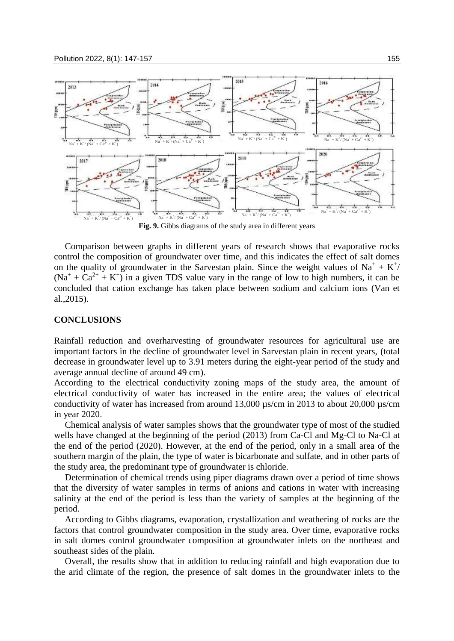

**Fig. 9.** Gibbs diagrams of the study area in different years

Comparison between graphs in different years of research shows that evaporative rocks control the composition of groundwater over time, and this indicates the effect of salt domes on the quality of groundwater in the Sarvestan plain. Since the weight values of  $Na^+ + K^+$ /  $(Na^+ + Ca^{2+} + K^+)$  in a given TDS value vary in the range of low to high numbers, it can be concluded that cation exchange has taken place between sodium and calcium ions (Van et al.,2015).

#### **CONCLUSIONS**

Rainfall reduction and overharvesting of groundwater resources for agricultural use are important factors in the decline of groundwater level in Sarvestan plain in recent years, (total decrease in groundwater level up to 3.91 meters during the eight-year period of the study and average annual decline of around 49 cm).

According to the electrical conductivity zoning maps of the study area, the amount of electrical conductivity of water has increased in the entire area; the values of electrical conductivity of water has increased from around 13,000 µs/cm in 2013 to about 20,000 µs/cm in year 2020.

Chemical analysis of water samples shows that the groundwater type of most of the studied wells have changed at the beginning of the period (2013) from Ca-Cl and Mg-Cl to Na-Cl at the end of the period (2020). However, at the end of the period, only in a small area of the southern margin of the plain, the type of water is bicarbonate and sulfate, and in other parts of the study area, the predominant type of groundwater is chloride.

Determination of chemical trends using piper diagrams drawn over a period of time shows that the diversity of water samples in terms of anions and cations in water with increasing salinity at the end of the period is less than the variety of samples at the beginning of the period.

According to Gibbs diagrams, evaporation, crystallization and weathering of rocks are the factors that control groundwater composition in the study area. Over time, evaporative rocks in salt domes control groundwater composition at groundwater inlets on the northeast and southeast sides of the plain.

Overall, the results show that in addition to reducing rainfall and high evaporation due to the arid climate of the region, the presence of salt domes in the groundwater inlets to the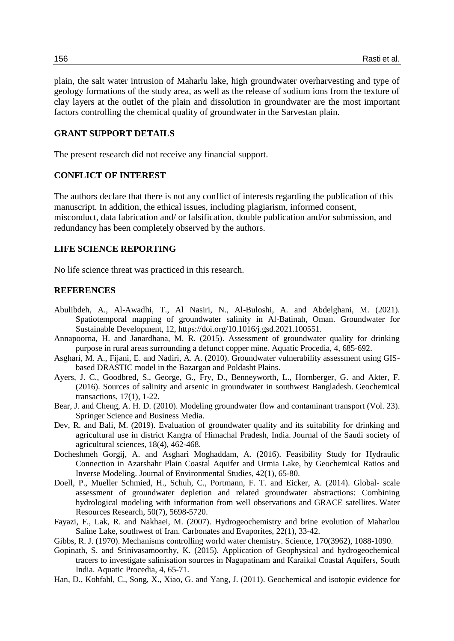plain, the salt water intrusion of Maharlu lake, high groundwater overharvesting and type of geology formations of the study area, as well as the release of sodium ions from the texture of clay layers at the outlet of the plain and dissolution in groundwater are the most important factors controlling the chemical quality of groundwater in the Sarvestan plain.

# **GRANT SUPPORT DETAILS**

The present research did not receive any financial support.

# **CONFLICT OF INTEREST**

The authors declare that there is not any conflict of interests regarding the publication of this manuscript. In addition, the ethical issues, including plagiarism, informed consent, misconduct, data fabrication and/ or falsification, double publication and/or submission, and redundancy has been completely observed by the authors.

# **LIFE SCIENCE REPORTING**

No life science threat was practiced in this research.

# **REFERENCES**

- Abulibdeh, A., Al-Awadhi, T., Al Nasiri, N., Al-Buloshi, A. and Abdelghani, M. (2021). Spatiotemporal mapping of groundwater salinity in Al-Batinah, Oman. Groundwater for Sustainable Development, 12, https://doi.org/10.1016/j.gsd.2021.100551.
- Annapoorna, H. and Janardhana, M. R. (2015). Assessment of groundwater quality for drinking purpose in rural areas surrounding a defunct copper mine. Aquatic Procedia, 4, 685-692.
- Asghari, M. A., Fijani, E. and Nadiri, A. A. (2010). Groundwater vulnerability assessment using GISbased DRASTIC model in the Bazargan and Poldasht Plains.
- Ayers, J. C., Goodbred, S., George, G., Fry, D., Benneyworth, L., Hornberger, G. and Akter, F. (2016). Sources of salinity and arsenic in groundwater in southwest Bangladesh. Geochemical transactions, 17(1), 1-22.
- Bear, J. and Cheng, A. H. D. (2010). Modeling groundwater flow and contaminant transport (Vol. 23). Springer Science and Business Media.
- Dev, R. and Bali, M. (2019). Evaluation of groundwater quality and its suitability for drinking and agricultural use in district Kangra of Himachal Pradesh, India. Journal of the Saudi society of agricultural sciences, 18(4), 462-468.
- Docheshmeh Gorgij, A. and Asghari Moghaddam, A. (2016). Feasibility Study for Hydraulic Connection in Azarshahr Plain Coastal Aquifer and Urmia Lake, by Geochemical Ratios and Inverse Modeling. Journal of Environmental Studies, 42(1), 65-80.
- Doell, P., Mueller Schmied, H., Schuh, C., Portmann, F. T. and Eicker, A. (2014). Global- scale assessment of groundwater depletion and related groundwater abstractions: Combining hydrological modeling with information from well observations and GRACE satellites. Water Resources Research, 50(7), 5698-5720.
- Fayazi, F., Lak, R. and Nakhaei, M. (2007). Hydrogeochemistry and brine evolution of Maharlou Saline Lake, southwest of Iran. Carbonates and Evaporites, 22(1), 33-42.
- Gibbs, R. J. (1970). Mechanisms controlling world water chemistry. Science, 170(3962), 1088-1090.
- Gopinath, S. and Srinivasamoorthy, K. (2015). Application of Geophysical and hydrogeochemical tracers to investigate salinisation sources in Nagapatinam and Karaikal Coastal Aquifers, South India. Aquatic Procedia, 4, 65-71.
- Han, D., Kohfahl, C., Song, X., Xiao, G. and Yang, J. (2011). Geochemical and isotopic evidence for